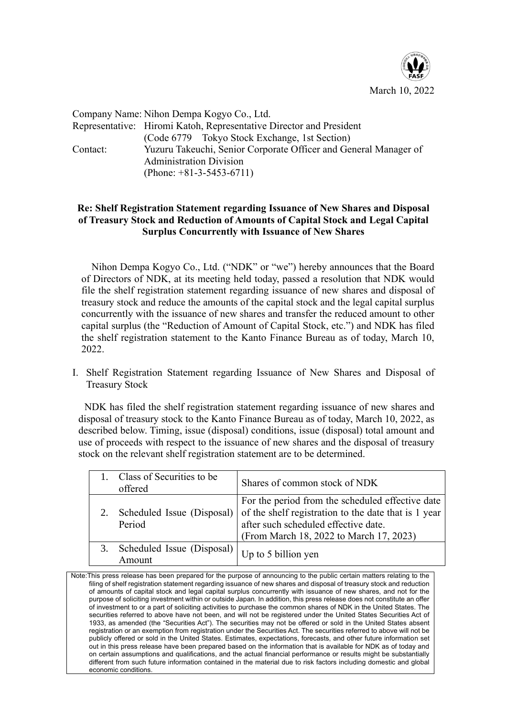

Company Name: Nihon Dempa Kogyo Co., Ltd. Representative: Hiromi Katoh, Representative Director and President (Code 6779 Tokyo Stock Exchange, 1st Section) Contact: Yuzuru Takeuchi, Senior Corporate Officer and General Manager of Administration Division (Phone: +81-3-5453-6711)

## **Re: Shelf Registration Statement regarding Issuance of New Shares and Disposal of Treasury Stock and Reduction of Amounts of Capital Stock and Legal Capital Surplus Concurrently with Issuance of New Shares**

Nihon Dempa Kogyo Co., Ltd. ("NDK" or "we") hereby announces that the Board of Directors of NDK, at its meeting held today, passed a resolution that NDK would file the shelf registration statement regarding issuance of new shares and disposal of treasury stock and reduce the amounts of the capital stock and the legal capital surplus concurrently with the issuance of new shares and transfer the reduced amount to other capital surplus (the "Reduction of Amount of Capital Stock, etc.") and NDK has filed the shelf registration statement to the Kanto Finance Bureau as of today, March 10, 2022.

I. Shelf Registration Statement regarding Issuance of New Shares and Disposal of Treasury Stock

NDK has filed the shelf registration statement regarding issuance of new shares and disposal of treasury stock to the Kanto Finance Bureau as of today, March 10, 2022, as described below. Timing, issue (disposal) conditions, issue (disposal) total amount and use of proceeds with respect to the issuance of new shares and the disposal of treasury stock on the relevant shelf registration statement are to be determined.

|    | Class of Securities to be<br>offered   | Shares of common stock of NDK                                                                                                                                                               |
|----|----------------------------------------|---------------------------------------------------------------------------------------------------------------------------------------------------------------------------------------------|
|    | Scheduled Issue (Disposal)<br>Period   | For the period from the scheduled effective date<br>of the shelf registration to the date that is 1 year<br>after such scheduled effective date.<br>(From March 18, 2022 to March 17, 2023) |
| 3. | Scheduled Issue (Disposal)  <br>Amount | Up to 5 billion yen                                                                                                                                                                         |

Note:This press release has been prepared for the purpose of announcing to the public certain matters relating to the filing of shelf registration statement regarding issuance of new shares and disposal of treasury stock and reduction of amounts of capital stock and legal capital surplus concurrently with issuance of new shares, and not for the purpose of soliciting investment within or outside Japan. In addition, this press release does not constitute an offer of investment to or a part of soliciting activities to purchase the common shares of NDK in the United States. The securities referred to above have not been, and will not be registered under the United States Securities Act of 1933, as amended (the "Securities Act"). The securities may not be offered or sold in the United States absent registration or an exemption from registration under the Securities Act. The securities referred to above will not be publicly offered or sold in the United States. Estimates, expectations, forecasts, and other future information set out in this press release have been prepared based on the information that is available for NDK as of today and on certain assumptions and qualifications, and the actual financial performance or results might be substantially different from such future information contained in the material due to risk factors including domestic and global economic conditions.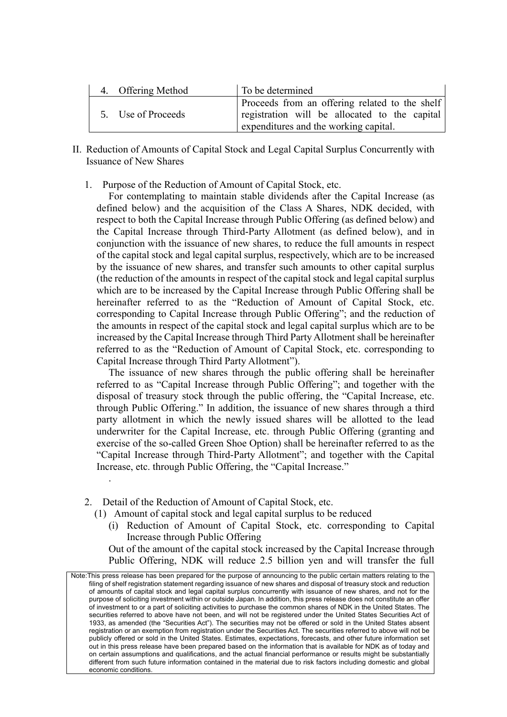| 4. Offering Method | To be determined                                                                                                                         |
|--------------------|------------------------------------------------------------------------------------------------------------------------------------------|
| 5. Use of Proceeds | Proceeds from an offering related to the shelf<br>registration will be allocated to the capital<br>expenditures and the working capital. |

- II. Reduction of Amounts of Capital Stock and Legal Capital Surplus Concurrently with Issuance of New Shares
	- 1. Purpose of the Reduction of Amount of Capital Stock, etc.

For contemplating to maintain stable dividends after the Capital Increase (as defined below) and the acquisition of the Class A Shares, NDK decided, with respect to both the Capital Increase through Public Offering (as defined below) and the Capital Increase through Third-Party Allotment (as defined below), and in conjunction with the issuance of new shares, to reduce the full amounts in respect of the capital stock and legal capital surplus, respectively, which are to be increased by the issuance of new shares, and transfer such amounts to other capital surplus (the reduction of the amounts in respect of the capital stock and legal capital surplus which are to be increased by the Capital Increase through Public Offering shall be hereinafter referred to as the "Reduction of Amount of Capital Stock, etc. corresponding to Capital Increase through Public Offering"; and the reduction of the amounts in respect of the capital stock and legal capital surplus which are to be increased by the Capital Increase through Third Party Allotment shall be hereinafter referred to as the "Reduction of Amount of Capital Stock, etc. corresponding to Capital Increase through Third Party Allotment").

The issuance of new shares through the public offering shall be hereinafter referred to as "Capital Increase through Public Offering"; and together with the disposal of treasury stock through the public offering, the "Capital Increase, etc. through Public Offering." In addition, the issuance of new shares through a third party allotment in which the newly issued shares will be allotted to the lead underwriter for the Capital Increase, etc. through Public Offering (granting and exercise of the so-called Green Shoe Option) shall be hereinafter referred to as the "Capital Increase through Third-Party Allotment"; and together with the Capital Increase, etc. through Public Offering, the "Capital Increase."

2. Detail of the Reduction of Amount of Capital Stock, etc.

.

- (1) Amount of capital stock and legal capital surplus to be reduced
	- (i) Reduction of Amount of Capital Stock, etc. corresponding to Capital Increase through Public Offering

Out of the amount of the capital stock increased by the Capital Increase through Public Offering, NDK will reduce 2.5 billion yen and will transfer the full

Note:This press release has been prepared for the purpose of announcing to the public certain matters relating to the filing of shelf registration statement regarding issuance of new shares and disposal of treasury stock and reduction of amounts of capital stock and legal capital surplus concurrently with issuance of new shares, and not for the purpose of soliciting investment within or outside Japan. In addition, this press release does not constitute an offer of investment to or a part of soliciting activities to purchase the common shares of NDK in the United States. The securities referred to above have not been, and will not be registered under the United States Securities Act of 1933, as amended (the "Securities Act"). The securities may not be offered or sold in the United States absent registration or an exemption from registration under the Securities Act. The securities referred to above will not be publicly offered or sold in the United States. Estimates, expectations, forecasts, and other future information set out in this press release have been prepared based on the information that is available for NDK as of today and on certain assumptions and qualifications, and the actual financial performance or results might be substantially different from such future information contained in the material due to risk factors including domestic and global economic conditions.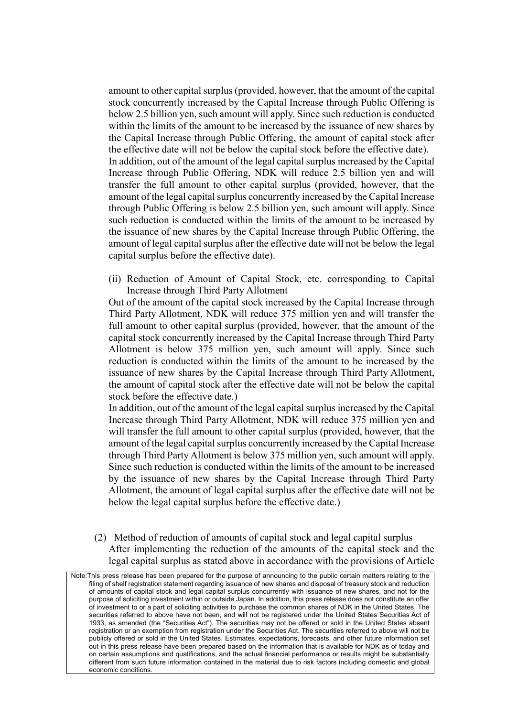amount to other capital surplus (provided, however, that the amount of the capital stock concurrently increased by the Capital Increase through Public Offering is below 2.5 billion yen, such amount will apply. Since such reduction is conducted within the limits of the amount to be increased by the issuance of new shares by the Capital Increase through Public Offering, the amount of capital stock after the effective date will not be below the capital stock before the effective date). In addition, out of the amount of the legal capital surplus increased by the Capital Increase through Public Offering, NDK will reduce 2.5 billion yen and will transfer the full amount to other capital surplus (provided, however, that the amount of the legal capital surplus concurrently increased by the Capital Increase through Public Offering is below 2.5 billion yen, such amount will apply. Since such reduction is conducted within the limits of the amount to be increased by the issuance of new shares by the Capital Increase through Public Offering, the amount of legal capital surplus after the effective date will not be below the legal capital surplus before the effective date).

(ii) Reduction of Amount of Capital Stock, etc. corresponding to Capital Increase through Third Party Allotment

Out of the amount of the capital stock increased by the Capital Increase through Third Party Allotment, NDK will reduce 375 million yen and will transfer the full amount to other capital surplus (provided, however, that the amount of the capital stock concurrently increased by the Capital Increase through Third Party Allotment is below 375 million yen, such amount will apply. Since such reduction is conducted within the limits of the amount to be increased by the issuance of new shares by the Capital Increase through Third Party Allotment, the amount of capital stock after the effective date will not be below the capital stock before the effective date.)

In addition, out of the amount of the legal capital surplus increased by the Capital Increase through Third Party Allotment, NDK will reduce 375 million yen and will transfer the full amount to other capital surplus (provided, however, that the amount of the legal capital surplus concurrently increased by the Capital Increase through Third Party Allotment is below 375 million yen, such amount will apply. Since such reduction is conducted within the limits of the amount to be increased by the issuance of new shares by the Capital Increase through Third Party Allotment, the amount of legal capital surplus after the effective date will not be below the legal capital surplus before the effective date.)

(2) Method of reduction of amounts of capital stock and legal capital surplus After implementing the reduction of the amounts of the capital stock and the legal capital surplus as stated above in accordance with the provisions of Article

Note:This press release has been prepared for the purpose of announcing to the public certain matters relating to the filing of shelf registration statement regarding issuance of new shares and disposal of treasury stock and reduction of amounts of capital stock and legal capital surplus concurrently with issuance of new shares, and not for the purpose of soliciting investment within or outside Japan. In addition, this press release does not constitute an offer of investment to or a part of soliciting activities to purchase the common shares of NDK in the United States. The securities referred to above have not been, and will not be registered under the United States Securities Act of 1933, as amended (the "Securities Act"). The securities may not be offered or sold in the United States absent registration or an exemption from registration under the Securities Act. The securities referred to above will not be publicly offered or sold in the United States. Estimates, expectations, forecasts, and other future information set out in this press release have been prepared based on the information that is available for NDK as of today and on certain assumptions and qualifications, and the actual financial performance or results might be substantially different from such future information contained in the material due to risk factors including domestic and global economic conditions.